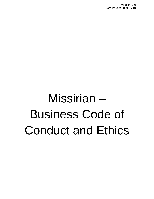# Missirian – Business Code of Conduct and Ethics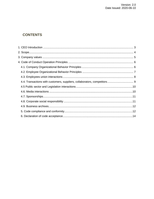### **CONTENTS**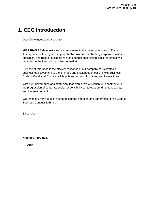# <span id="page-2-0"></span>**1. CEO Introduction**

Dear Colleagues and Associates,

**MISSIRIAN SA** demonstrates its commitment to the development and diffusion of its corporate culture by applying applicable law and establishing corporate values, principles, and rules of business-related conduct, that distinguish it for almost two centuries in the international tobacco market.

Purpose of this Code is the efficient response of our company to its strategic business objectives and to the changes and challenges of our era with Business Code of Conduct & Ethics in all its policies, actions, functions, and transactions.

With right governance and exemplary leadership, we will continue to contribute to the progression of corporate social responsibility centered around human, society and the environment.

We respectfully invite all of you to accept the adoption and adherence to this Code of Business Conduct & Ethics.

Sincerely,

**Nikolaos Tzoumas,** 

**CEO**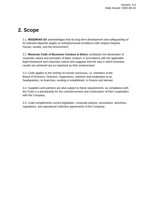# <span id="page-3-0"></span>**2. Scope**

2.1. **MISSIRIAN SA** acknowledges that its long-term development and safeguarding of its interests depends largely on entrepreneurial excellence with respect towards human, society, and the environment.

2.2. **Missirian Code of Business Conduct & Ethics** constitutes the declaration of corporate values and principles of labor conduct, in accordance with the applicable legal framework and corporate culture and suggests that the way in which business results are achieved are as important as their achievement.

2.3. Code applies to the entirety its human resources, i.e. members of the Board of Directors, Directors, Supervisors, Advisors and employees at its headquarters, its branches, existing or established, in Greece and abroad.

2.4. Suppliers and partners are also subject to these requirements, as compliance with the Code is a prerequisite for the commencement and continuation of their cooperation with the Company.

2.5. Code complements current legislation, corporate policies, procedures, directives, regulations, and operational collective agreements of the Company.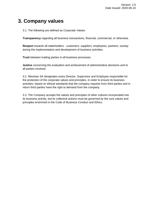# <span id="page-4-0"></span>**3. Company values**

3.1. The following are defined as Corporate Values:

**Transparency** regarding all business transactions, financial, commercial, or otherwise.

**Respect** towards all stakeholders - customers, suppliers, employees, partners, society during the implementation and development of business activities.

**Trust** between trading parties in all business processes.

**Justice** concerning the evaluation and achievement of administrative decisions and to all parties involved.

3.2. Missirian SA designates every Director, Supervisor and Employee responsible for the protection of the corporate values and principles, in order to ensure its business activities, based on ethical standards that the company requires from third parties and in return third parties have the right to demand from the company.

3.3. The Company accepts the values and principles of other cultures incorporated into its business activity, but its collective actions must be governed by the core values and principles enshrined in the Code of Business Conduct and Ethics.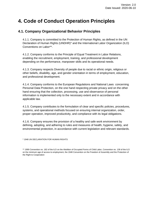# <span id="page-5-0"></span>**4. Code of Conduct Operation Principles**

#### <span id="page-5-1"></span>**4.1. Company Organizational Behavior Principles**

4.1.1. Company is committed to the Protection of Human Rights, as defined in the UN Declaration of Human Rights (UNDHR)\* and the International Labor Organization (ILO) Conventions on Labor\*\*.

4.1.2. Company conforms to the Principle of Equal Treatment in Labor Relations, enabling the recruitment, employment, training, and professional development depending on the performance, manpower skills and its operational needs.

4.1.3. Company respects Diversity of people due to racial or ethnic origin, religious or other beliefs, disability, age, and gender orientation in terms of employment, education, and professional development.

4.1.4. Company conforms to the European Regulations and National Laws concerning Personal Data Protection, on the one hand respecting private privacy and on the other hand ensuring that the collection, processing, use and observance of personal information is implemented only to the necessary extent and in accordance with applicable law.

4.1.5. Company contributes to the formulation of clear and specific policies, procedures, systems, and operational methods focused on ensuring internal organization, order, proper operation, improved productivity, and compliance with its legal obligations.

4.1.6. Company ensures the provision of a healthy and safe work environment by defining, adopting, and adhering to rules and measures of health, hygiene, safety, and environmental protection, in accordance with current legislation and relevant standards.

\* 1948 UN DECLARATION FOR HUMAN RIGHTS

\*\* 1999 Convention no. 182 of the ILO on the Abolition of Occupied Forms of Child Labor, Convention no. 138 of the ILO on the minimum age of access to employment, the 1948 Convention on the Freedom of Assembly and the Protection of the Right to Cooperation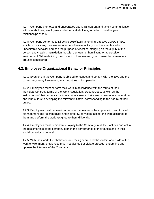4.1.7. Company promotes and encourages open, transparent and timely communication with shareholders, employees and other stakeholders, in order to build long-term relationships of trust.

4.1.8. Company conforms to Directive 2019/1158 amending Directive 2002/73 / EC, which prohibits any harassment or other offensive activity which is manifested in undesirable behavior and has the purpose or effect of infringing on the dignity of the person and creating intimidation, hostile, demeaning, humiliating or aggressive environment. When defining the concept of harassment, good transactional manners are also considered.

#### <span id="page-6-0"></span>**4.2. Employee Organizational Behavior Principles**

4.2.1. Everyone in the Company is obliged to respect and comply with the laws and the current regulatory framework, in all countries of its operation.

4.2.2. Employees must perform their work in accordance with the terms of their Individual Contract, terms of the Work Regulation, present Code, as well as the instructions of their supervisors, in a spirit of close and sincere professional cooperation and mutual trust, developing the relevant initiative, corresponding to the nature of their duties.

4.2.3. Employees must behave in a manner that respects the appreciation and trust of Management and its immediate and indirect Supervisors, accept the work assigned to them and perform the work assigned to them diligently.

4.2.4. Employees must demonstrate loyalty to the Company in all their actions and act in the best interests of the company both in the performance of their duties and in their social behavior in general.

4.2.5. With their work, their behavior, and their general activities within or outside of the work environment, employees must not discredit or violate prestige, undermine and oppose the interests of the Company.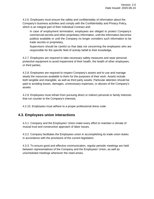4.2.6. Employees must ensure the safety and confidentiality of information about the Company's business activities and comply with the Confidentiality and Privacy Policy, which is an integral part of their Individual Contract and:

In case of employment termination, employees are obliged to protect Company's commercial secrets and other proprietary information, until the information becomes publicly available or until the Company no longer considers such information to be trade secrets or proprietary.

Supervisors should be careful so that data not concerning the employees who are responsible for the specific field of activity befall to their knowledge.

4.2.7. Employees are required to take necessary safety measures and wear personal protective equipment to avoid impairment of their health, the health of other employees, or third parties.

4.2.8. Employees are required to respect Company's assets and to use and manage wisely the resources available to them for the purposes of their work. Assets include both tangible and intangible, as well as third party assets. Particular attention should be paid to avoiding losses, damages, unnecessary expenses, or abuses of the Company's assets.

4.2.9. Employees must refrain from pursuing direct or indirect personal or family interests that run counter to the Company's interests.

4.2.10. Employees must adhere to a proper professional dress code.

#### <span id="page-7-0"></span>**4.3. Employees union interactions**

4.3.1. Company and the Employees' Union make every effort to maintain a climate of mutual trust and constructive approach of labor issues.

4.3.2. Company facilitates the Employees union in accomplishing its trade union duties in accordance with the provisions of the current legislation.

4.3.3. To ensure good and effective communication, regular periodic meetings are held between representatives of the Company and the Employees' Union, as well as unscheduled meetings whenever the need arises.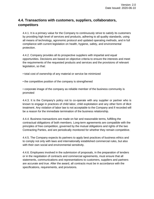### <span id="page-8-0"></span>**4.4. Transactions with customers, suppliers, collaborators, competitors**

4.4.1. It is a primary value for the Company to continuously strive to satisfy its customers by providing high level of services and products, adhering to all quality standards, using all means of technology, agronomic protocol and updated operating methods, and in full compliance with current legislation on health, hygiene, safety, and environmental protection.

4.4.2. Company provides all its prospective suppliers with impartial and equal opportunities. Decisions are based on objective criteria to ensure the interests and meet the requirements of the requested products and services and the provisions of relevant legislation, so that:

▪ total cost of ownership of any material or service be minimized

• the competitive position of the company is strengthened

▪ corporate image of the company as reliable member of the business community is promoted

4.4.3. It is the Company's policy not to co-operate with any supplier or partner who is known to engage in practices of child labor, child exploitation and any other form of illicit treatment. Any violation of labor law is not acceptable to the Company and if recorded will be a reason for the immediate termination of the business relationship.

4.4.4. Business transactions are made on fair and reasonable terms, fulfilling the contractual obligations of both members. Long-term agreements are compatible with the principles of free competition, governed by the mutual obligations and rights of the two Contracting Parties, and are periodically monitored for whether they remain competitive.

4.4.5. The Company expects its partners to apply best practices of business ethics and to comply not only with laws and internationally established commercial rules, but also with their own social and environmental sensitivity.

4.4.6. Employees involved in the submission of proposals, in the preparation of tenders or in the negotiation of contracts and commercial agreements, must ensure that all statements, communications and representations to customers, suppliers and partners are accurate and true. After the award, all contracts must be in accordance with the specifications, requirements, and provisions.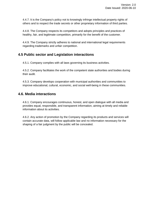4.4.7. It is the Company's policy not to knowingly infringe intellectual property rights of others and to respect the trade secrets or other proprietary information of third parties.

4.4.8. The Company respects its competitors and adopts principles and practices of healthy, fair, and legitimate competition, primarily for the benefit of the customer.

4.4.9. The Company strictly adheres to national and international legal requirements regarding trademarks and unfair competition.**8** 

#### <span id="page-9-0"></span>**4.5 Public sector and Legislation interactions**

4.5.1. Company complies with all laws governing its business activities.

4.5.2. Company facilitates the work of the competent state authorities and bodies during their audit.

4.5.3. Company develops cooperation with municipal authorities and communities to improve educational, cultural, economic, and social well-being in these communities.

#### <span id="page-9-1"></span>**4.6. Media interactions**

4.6.1. Company encourages continuous, honest, and open dialogue with all media and provides equal, responsible, and transparent information, aiming at timely and reliable information about its activities.

4.6.2. Any action of promotion by the Company regarding its products and services will contain accurate data, will follow applicable law and no information necessary for the shaping of a fair judgment by the public will be concealed.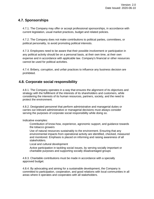#### <span id="page-10-0"></span>**4.7. Sponsorships**

4.7.1. The Company may offer or accept professional sponsorships, in accordance with current legislation, usual market practices, budget and related policies.

4.7.2. The Company does not make contributions to political parties, committees, or political personality, to avoid promoting political interests.

4.7.3. Employees need to be aware that their possible involvement or participation in any political activity should be on a personal basis, at their own time, at their own expense and in accordance with applicable law. Company's financial or other resources cannot be used for political activities.

4.7.4. Bribery, corruption, and unfair practices to influence any business decision are prohibited.**9**

#### <span id="page-10-1"></span>**4.8. Corporate social responsibility**

4.8.1. The Company operates in a way that ensures the alignment of its objectives and strategy with the fulfillment of the interests of its shareholders and customers, while considering the interests of its human resources, partners, society, and the need to protect the environment.

4.8.2. Designated personnel that perform administrative and managerial duties or carries out relevant administrative or managerial decisions must always consider serving the purposes of corporate social responsibility while doing so.

Indicative examples:

Contribution of know-how, experience, agronomic support, and guidance towards the tobacco growers

Use of natural resources sustainably to the environment. Ensuring that any environmental impacts from operational activity are identified, checked, measured and monitored. Emphasis is placed on informing and raising awareness of all stakeholders.

Local and cultural development

Active participation in tackling social issues, by serving socially important or charitable purposes and supporting socially disadvantaged groups

4.8.3. Charitable contributions must be made in accordance with a specially approved budget.

4.8.4. By advocating and aiming for a sustainable development, the Company is committed to participation, cooperation, and good relations with local communities in all areas where it operates and cooperates with all stakeholders.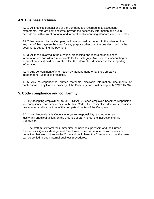#### <span id="page-11-0"></span>**4.9. Business archives**

4.9.1. All financial transactions of the Company are recorded in its accounting statements. Data are kept accurate, provide the necessary information and are in accordance with current national and international accounting standards and principles.

4.9.2. No payment by the Company will be approved or made with the intention that any part of that payment be used for any purpose other than the one described by the documents supporting the payment.

4.9.3. All those involved in the creation, processing and recording of business information are considered responsible for their integrity. Any business, accounting or financial entries should accurately reflect the information described in the supporting information.

4.9.4. Any concealment of information by Management, or by the Company's independent Auditors, is prohibited.

4.9.5. Any correspondence, printed materials, electronic information, documents, or publications of any kind are property of the Company and must be kept in MISSIRIAN SA.

#### <span id="page-11-1"></span>**5. Code compliance and conformity**

5.1. By accepting employment to MISSIRIAN SA, each employee becomes responsible for compliance and conformity with this Code, the respective decisions, policies, procedures, and instructions of the competent bodies of the Company.

5.2. Compliance with this Code is everyone's responsibility, and no one can justify any unethical action, on the grounds of carrying out the instructions of his Supervisor.

5.3. The staff must inform their immediate or indirect supervisors and the Human Resources & Quality Management Directorate if they come to terms with events or behaviors that are contrary to the Code and could harm the Company, so that the issue can be settled through internal business procedures.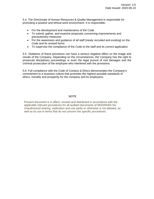5.4. The Directorate of Human Resources & Quality Management is responsible for promoting a positive and ethical work environment. It is responsible:

- For the development and maintenance of the Code
- To submit, gather, and examine proposals concerning improvements and precautionary measures
- For the awareness and guidance of all staff (newly recruited and existing) on the Code and its revised forms
- To supervise the compliance of the Code to the staff and its correct application

5.5. Violations of these provisions can have a serious negative effect on the image and results of the Company. Depending on the circumstances, the Company has the right to prosecute disciplinary proceedings or even the legal pursuit of civil damages and the criminal prosecution of the employee who interfered with the provisions.

5.6. Full compliance with the Code of Conduct & Ethics demonstrates the Company's commitment to a business culture that promotes the highest possible standards of ethics, morality and prosperity for the company and its employees.

#### **NOTE**

Present document is in effect, revised and distributed in accordance with the applicable relevant procedures for all audited documents of MISSIRIAN SA. Unauthorized sharing, replication and use partly or otherwise is not allowed, as well as its use in terms that do not concern the specific procedures.